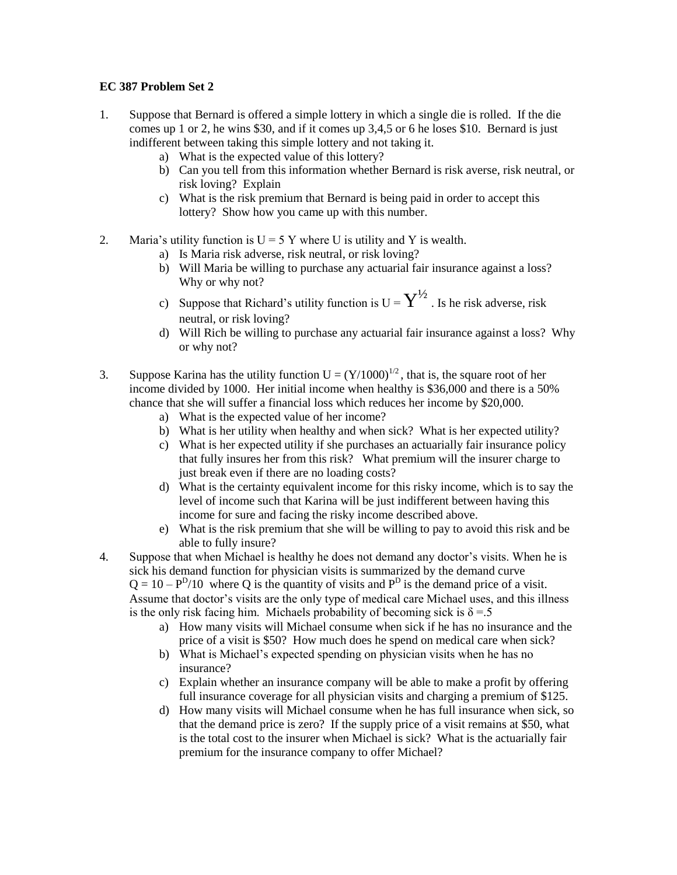## **EC 387 Problem Set 2**

- 1. Suppose that Bernard is offered a simple lottery in which a single die is rolled. If the die comes up 1 or 2, he wins \$30, and if it comes up 3,4,5 or 6 he loses \$10. Bernard is just indifferent between taking this simple lottery and not taking it.
	- a) What is the expected value of this lottery?
	- b) Can you tell from this information whether Bernard is risk averse, risk neutral, or risk loving? Explain
	- c) What is the risk premium that Bernard is being paid in order to accept this lottery? Show how you came up with this number.
- 2. Maria's utility function is  $U = 5$  Y where U is utility and Y is wealth.
	- a) Is Maria risk adverse, risk neutral, or risk loving?
	- b) Will Maria be willing to purchase any actuarial fair insurance against a loss? Why or why not?
	- c) Suppose that Richard's utility function is  $U = \overline{Y}^{1/2}$ . Is he risk adverse, risk neutral, or risk loving?
	- d) Will Rich be willing to purchase any actuarial fair insurance against a loss? Why or why not?
- 3. Suppose Karina has the utility function  $U = (Y/1000)^{1/2}$ , that is, the square root of her income divided by 1000. Her initial income when healthy is \$36,000 and there is a 50% chance that she will suffer a financial loss which reduces her income by \$20,000.
	- a) What is the expected value of her income?
	- b) What is her utility when healthy and when sick? What is her expected utility?
	- c) What is her expected utility if she purchases an actuarially fair insurance policy that fully insures her from this risk? What premium will the insurer charge to just break even if there are no loading costs?
	- d) What is the certainty equivalent income for this risky income, which is to say the level of income such that Karina will be just indifferent between having this income for sure and facing the risky income described above.
	- e) What is the risk premium that she will be willing to pay to avoid this risk and be able to fully insure?
- 4. Suppose that when Michael is healthy he does not demand any doctor's visits. When he is sick his demand function for physician visits is summarized by the demand curve  $Q = 10 - P^{D}/10$  where Q is the quantity of visits and  $P^{D}$  is the demand price of a visit. Assume that doctor's visits are the only type of medical care Michael uses, and this illness is the only risk facing him. Michaels probability of becoming sick is  $\delta = 5$ 
	- a) How many visits will Michael consume when sick if he has no insurance and the price of a visit is \$50? How much does he spend on medical care when sick?
	- b) What is Michael's expected spending on physician visits when he has no insurance?
	- c) Explain whether an insurance company will be able to make a profit by offering full insurance coverage for all physician visits and charging a premium of \$125.
	- d) How many visits will Michael consume when he has full insurance when sick, so that the demand price is zero? If the supply price of a visit remains at \$50, what is the total cost to the insurer when Michael is sick? What is the actuarially fair premium for the insurance company to offer Michael?